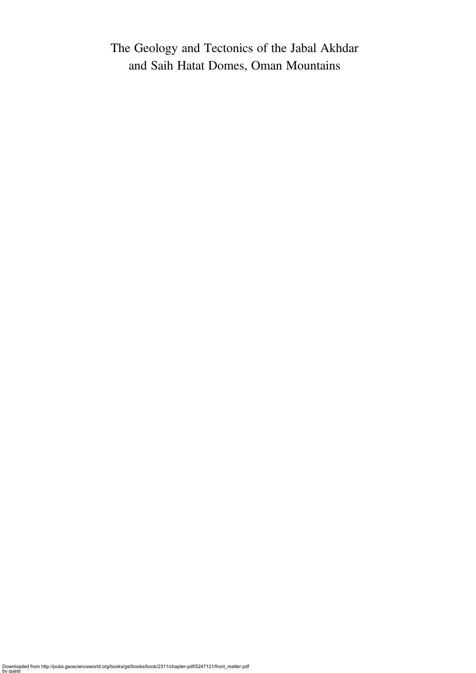The Geology and Tectonics of the Jabal Akhdar and Saih Hatat Domes, Oman Mountains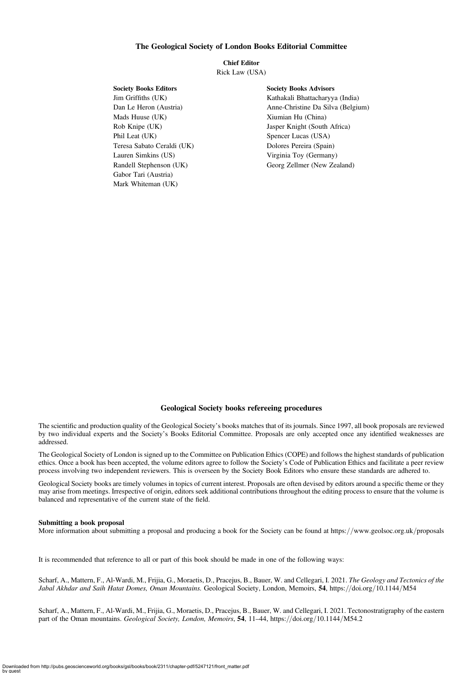### The Geological Society of London Books Editorial Committee

Chief Editor Rick Law (USA)

### Society Books Editors

Jim Griffiths (UK) Dan Le Heron (Austria) Mads Huuse (UK) Rob Knipe (UK) Phil Leat (UK) Teresa Sabato Ceraldi (UK) Lauren Simkins (US) Randell Stephenson (UK) Gabor Tari (Austria) Mark Whiteman (UK)

### Society Books Advisors

Kathakali Bhattacharyya (India) Anne-Christine Da Silva (Belgium) Xiumian Hu (China) Jasper Knight (South Africa) Spencer Lucas (USA) Dolores Pereira (Spain) Virginia Toy (Germany) Georg Zellmer (New Zealand)

### Geological Society books refereeing procedures

The scientific and production quality of the Geological Society's books matches that of its journals. Since 1997, all book proposals are reviewed by two individual experts and the Society's Books Editorial Committee. Proposals are only accepted once any identified weaknesses are addressed.

The Geological Society of London is signed up to the Committee on Publication Ethics (COPE) and follows the highest standards of publication ethics. Once a book has been accepted, the volume editors agree to follow the Society's Code of Publication Ethics and facilitate a peer review process involving two independent reviewers. This is overseen by the Society Book Editors who ensure these standards are adhered to.

Geological Society books are timely volumes in topics of current interest. Proposals are often devised by editors around a specific theme or they may arise from meetings. Irrespective of origin, editors seek additional contributions throughout the editing process to ensure that the volume is balanced and representative of the current state of the field.

### Submitting a book proposal

More information about submitting a proposal and producing a book for the Society can be found at https://www.geolsoc.org.uk/proposals

It is recommended that reference to all or part of this book should be made in one of the following ways:

Scharf, A., Mattern, F., Al-Wardi, M., Frijia, G., Moraetis, D., Pracejus, B., Bauer, W. and Cellegari, I. 2021. The Geology and Tectonics of the Jabal Akhdar and Saih Hatat Domes, Oman Mountains. Geological Society, London, Memoirs, 54, https://doi.org/10.1144/M54

Scharf, A., Mattern, F., Al-Wardi, M., Frijia, G., Moraetis, D., Pracejus, B., Bauer, W. and Cellegari, I. 2021. Tectonostratigraphy of the eastern part of the Oman mountains. Geological Society, London, Memoirs, 54, 11–44, https://doi.org/10.1144/M54.2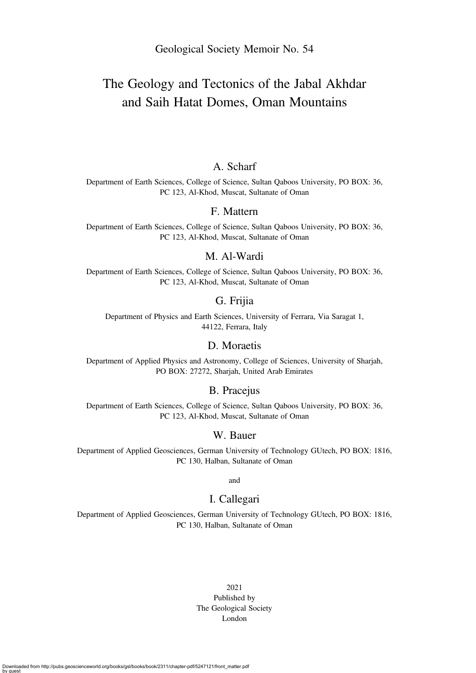# The Geology and Tectonics of the Jabal Akhdar and Saih Hatat Domes, Oman Mountains

# A. Scharf

Department of Earth Sciences, College of Science, Sultan Qaboos University, PO BOX: 36, PC 123, Al-Khod, Muscat, Sultanate of Oman

### F. Mattern

Department of Earth Sciences, College of Science, Sultan Qaboos University, PO BOX: 36, PC 123, Al-Khod, Muscat, Sultanate of Oman

# M. Al-Wardi

Department of Earth Sciences, College of Science, Sultan Qaboos University, PO BOX: 36, PC 123, Al-Khod, Muscat, Sultanate of Oman

### G. Frijia

Department of Physics and Earth Sciences, University of Ferrara, Via Saragat 1, 44122, Ferrara, Italy

# D. Moraetis

Department of Applied Physics and Astronomy, College of Sciences, University of Sharjah, PO BOX: 27272, Sharjah, United Arab Emirates

### B. Pracejus

Department of Earth Sciences, College of Science, Sultan Qaboos University, PO BOX: 36, PC 123, Al-Khod, Muscat, Sultanate of Oman

# W. Bauer

Department of Applied Geosciences, German University of Technology GUtech, PO BOX: 1816, PC 130, Halban, Sultanate of Oman

and

# I. Callegari

Department of Applied Geosciences, German University of Technology GUtech, PO BOX: 1816, PC 130, Halban, Sultanate of Oman

> 2021 Published by The Geological Society London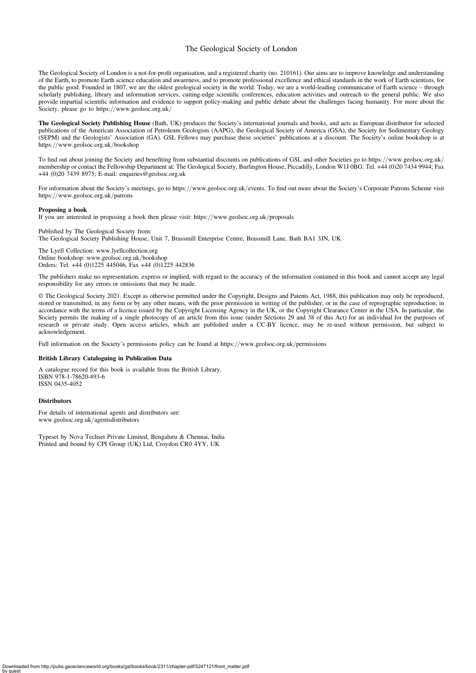### The Geological Society of London

The Geological Society of London is a not-for-profit organisation, and a registered charity (no. 210161). Our aims are to improve knowledge and understanding of the Earth, to promote Earth science education and awareness, and to promote professional excellence and ethical standards in the work of Earth scientists, for the public good. Founded in 1807, we are the oldest geological society in the world. Today, we are a world-leading communicator of Earth science – through scholarly publishing, library and information services, cutting-edge scientific conferences, education activities and outreach to the general public. We also provide impartial scientific information and evidence to support policy-making and public debate about the challenges facing humanity. For more about the Society, please go to https://www.geolsoc.org.uk/

The Geological Society Publishing House (Bath, UK) produces the Society's international journals and books, and acts as European distributor for selected publications of the American Association of Petroleum Geologists (AAPG), the Geological Society of America (GSA), the Society for Sedimentary Geology (SEPM) and the Geologists' Association (GA). GSL Fellows may purchase these societies' publications at a discount. The Society's online bookshop is at https://www.geolsoc.org.uk/bookshop

To find out about joining the Society and benefiting from substantial discounts on publications of GSL and other Societies go to https://www.geolsoc.org.uk/ membership or contact the Fellowship Department at: The Geological Society, Burlington House, Piccadilly, London W1J 0BG: Tel. +44 (0)20 7434 9944; Fax +44 (0)20 7439 8975; E-mail: enquiries@geolsoc.org.uk

For information about the Society's meetings, go to https://www.geolsoc.org.uk/events. To find out more about the Society's Corporate Patrons Scheme visit https://www.geolsoc.org.uk/patrons

#### Proposing a book

If you are interested in proposing a book then please visit: https://www.geolsoc.org.uk/proposals

Published by The Geological Society from: The Geological Society Publishing House, Unit 7, Brassmill Enterprise Centre, Brassmill Lane, Bath BA1 3JN, UK

The Lyell Collection: www.lyellcollection.org Online bookshop: www.geolsoc.org.uk/bookshop Orders: Tel. +44 (0)1225 445046, Fax +44 (0)1225 442836

The publishers make no representation, express or implied, with regard to the accuracy of the information contained in this book and cannot accept any legal responsibility for any errors or omissions that may be made.

© The Geological Society 2021. Except as otherwise permitted under the Copyright, Designs and Patents Act, 1988, this publication may only be reproduced, stored or transmitted, in any form or by any other means, with the prior permission in writing of the publisher, or in the case of reprographic reproduction, in accordance with the terms of a licence issued by the Copyright Licensing Agency in the UK, or the Copyright Clearance Center in the USA. In particular, the Society permits the making of a single photocopy of an article from this issue (under Sections 29 and 38 of this Act) for an individual for the purposes of research or private study. Open access articles, which are published under a CC-BY licence, may be re-used without permission, but subject to acknowledgement.

Full information on the Society's permissions policy can be found at https://www.geolsoc.org.uk/permissions

### British Library Cataloguing in Publication Data

A catalogue record for this book is available from the British Library. ISBN 978-1-78620-493-6 ISSN 0435-4052

### Distributors

For details of international agents and distributors see: www.geolsoc.org.uk/agentsdistributors

Typeset by Nova Techset Private Limited, Bengaluru & Chennai, India Printed and bound by CPI Group (UK) Ltd, Croydon CR0 4YY, UK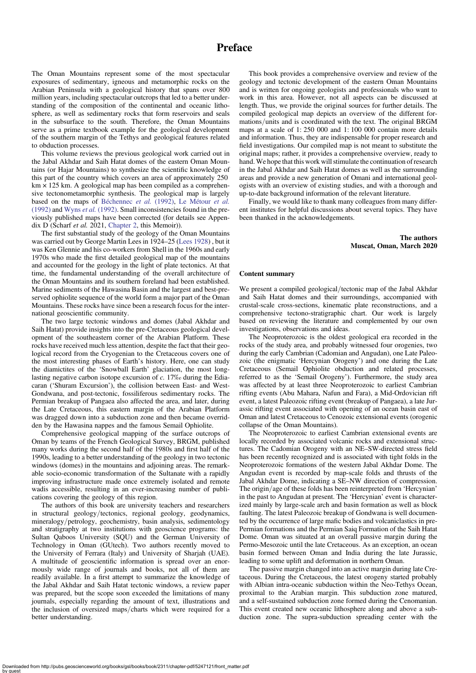# Preface

The Oman Mountains represent some of the most spectacular exposures of sedimentary, igneous and metamorphic rocks on the Arabian Peninsula with a geological history that spans over 800 million years, including spectacular outcrops that led to a better understanding of the composition of the continental and oceanic lithosphere, as well as sedimentary rocks that form reservoirs and seals in the subsurface to the south. Therefore, the Oman Mountains serve as a prime textbook example for the geological development of the southern margin of the Tethys and geological features related to obduction processes.

This volume reviews the previous geological work carried out in the Jabal Akhdar and Saih Hatat domes of the eastern Oman Mountains (or Hajar Mountains) to synthesize the scientific knowledge of this part of the country which covers an area of approximately 250 km  $\times$  125 km. A geological map has been compiled as a comprehensive tectonometamorphic synthesis. The geological map is largely based on the maps of [Béchennec](#page-5-0) et al. (1992), [Le Métour](#page-5-0) et al. [\(1992\)](#page-5-0) and Wyns et al. [\(1992\)](#page-5-0). Small inconsistencies found in the previously published maps have been corrected (for details see Appendix D (Scharf et al. 2021, Chapter 2, this Memoir)).

The first substantial study of the geology of the Oman Mountains was carried out by George Martin Lees in 1924–25 ([Lees 1928](#page-5-0)) , but it was Ken Glennie and his co-workers from Shell in the 1960s and early 1970s who made the first detailed geological map of the mountains and accounted for the geology in the light of plate tectonics. At that time, the fundamental understanding of the overall architecture of the Oman Mountains and its southern foreland had been established. Marine sediments of the Hawasina Basin and the largest and best-preserved ophiolite sequence of the world form a major part of the Oman Mountains. These rocks have since been a research focus for the international geoscientific community.

The two large tectonic windows and domes (Jabal Akhdar and Saih Hatat) provide insights into the pre-Cretaceous geological development of the southeastern corner of the Arabian Platform. These rocks have received much less attention, despite the fact that their geological record from the Cryogenian to the Cretaceous covers one of the most interesting phases of Earth's history. Here, one can study the diamictites of the 'Snowball Earth' glaciation, the most longlasting negative carbon isotope excursion of c. 17‰ during the Ediacaran ('Shuram Excursion'), the collision between East- and West-Gondwana, and post-tectonic, fossiliferous sedimentary rocks. The Permian breakup of Pangaea also affected the area, and later, during the Late Cretaceous, this eastern margin of the Arabian Platform was dragged down into a subduction zone and then became overridden by the Hawasina nappes and the famous Semail Ophiolite.

Comprehensive geological mapping of the surface outcrops of Oman by teams of the French Geological Survey, BRGM, published many works during the second half of the 1980s and first half of the 1990s, leading to a better understanding of the geology in two tectonic windows (domes) in the mountains and adjoining areas. The remarkable socio-economic transformation of the Sultanate with a rapidly improving infrastructure made once extremely isolated and remote wadis accessible, resulting in an ever-increasing number of publications covering the geology of this region.

The authors of this book are university teachers and researchers in structural geology/tectonics, regional geology, geodynamics, mineralogy/petrology, geochemistry, basin analysis, sedimentology and stratigraphy at two institutions with geoscience programs: the Sultan Qaboos University (SQU) and the German University of Technology in Oman (GUtech). Two authors recently moved to the University of Ferrara (Italy) and University of Sharjah (UAE). A multitude of geoscientific information is spread over an enormously wide range of journals and books, not all of them are readily available. In a first attempt to summarize the knowledge of the Jabal Akhdar and Saih Hatat tectonic windows, a review paper was prepared, but the scope soon exceeded the limitations of many journals, especially regarding the amount of text, illustrations and the inclusion of oversized maps/charts which were required for a better understanding.

This book provides a comprehensive overview and review of the geology and tectonic development of the eastern Oman Mountains and is written for ongoing geologists and professionals who want to work in this area. However, not all aspects can be discussed at length. Thus, we provide the original sources for further details. The compiled geological map depicts an overview of the different formations/units and is coordinated with the text. The original BRGM maps at a scale of 1: 250 000 and 1: 100 000 contain more details and information. Thus, they are indispensable for proper research and field investigations. Our compiled map is not meant to substitute the original maps; rather, it provides a comprehensive overview, ready to hand.We hope that this work will stimulate the continuation of research in the Jabal Akhdar and Saih Hatat domes as well as the surrounding areas and provide a new generation of Omani and international geologists with an overview of existing studies, and with a thorough and up-to-date background information of the relevant literature.

Finally, we would like to thank many colleagues from many different institutes for helpful discussions about several topics. They have been thanked in the acknowledgements.

> The authors Muscat, Oman, March 2020

#### Content summary

We present a compiled geological/tectonic map of the Jabal Akhdar and Saih Hatat domes and their surroundings, accompanied with crustal-scale cross-sections, kinematic plate reconstructions, and a comprehensive tectono-stratigraphic chart. Our work is largely based on reviewing the literature and complemented by our own investigations, observations and ideas.

The Neoproterozoic is the oldest geological era recorded in the rocks of the study area, and probably witnessed four orogenies, two during the early Cambrian (Cadomian and Angudan), one Late Paleozoic (the enigmatic 'Hercynian Orogeny') and one during the Late Cretaceous (Semail Ophiolite obduction and related processes, referred to as the 'Semail Orogeny'). Furthermore, the study area was affected by at least three Neoproterozoic to earliest Cambrian rifting events (Abu Mahara, Nafun and Fara), a Mid-Ordovician rift event, a latest Paleozoic rifting event (breakup of Pangaea), a late Jurassic rifting event associated with opening of an ocean basin east of Oman and latest Cretaceous to Cenozoic extensional events (orogenic collapse of the Oman Mountains).

The Neoproterozoic to earliest Cambrian extensional events are locally recorded by associated volcanic rocks and extensional structures. The Cadomian Orogeny with an NE–SW-directed stress field has been recently recognized and is associated with tight folds in the Neoproterozoic formations of the western Jabal Akhdar Dome. The Angudan event is recorded by map-scale folds and thrusts of the Jabal Akhdar Dome, indicating a SE–NW direction of compression. The origin/age of these folds has been reinterpreted from 'Hercynian' in the past to Angudan at present. The 'Hercynian' event is characterized mainly by large-scale arch and basin formation as well as block faulting. The latest Paleozoic breakup of Gondwana is well documented by the occurrence of large mafic bodies and volcaniclastics in pre-Permian formations and the Permian Saiq Formation of the Saih Hatat Dome. Oman was situated at an overall passive margin during the Permo-Mesozoic until the late Cretaceous. As an exception, an ocean basin formed between Oman and India during the late Jurassic, leading to some uplift and deformation in northern Oman.

The passive margin changed into an active margin during late Cretaceous. During the Cretaceous, the latest orogeny started probably with Albian intra-oceanic subduction within the Neo-Tethys Ocean, proximal to the Arabian margin. This subduction zone matured, and a self-sustained subduction zone formed during the Cenomanian. This event created new oceanic lithosphere along and above a subduction zone. The supra-subduction spreading center with the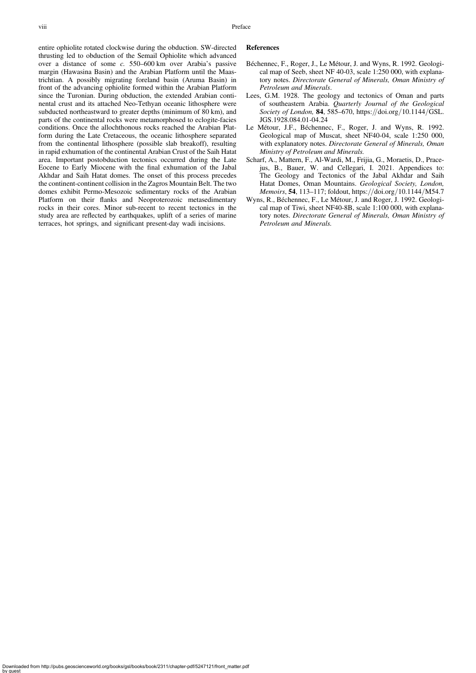<span id="page-5-0"></span>entire ophiolite rotated clockwise during the obduction. SW-directed thrusting led to obduction of the Semail Ophiolite which advanced over a distance of some c. 550–600 km over Arabia's passive margin (Hawasina Basin) and the Arabian Platform until the Maastrichtian. A possibly migrating foreland basin (Aruma Basin) in front of the advancing ophiolite formed within the Arabian Platform since the Turonian. During obduction, the extended Arabian continental crust and its attached Neo-Tethyan oceanic lithosphere were subducted northeastward to greater depths (minimum of 80 km), and parts of the continental rocks were metamorphosed to eclogite-facies conditions. Once the allochthonous rocks reached the Arabian Platform during the Late Cretaceous, the oceanic lithosphere separated from the continental lithosphere (possible slab breakoff), resulting in rapid exhumation of the continental Arabian Crust of the Saih Hatat area. Important postobduction tectonics occurred during the Late Eocene to Early Miocene with the final exhumation of the Jabal Akhdar and Saih Hatat domes. The onset of this process precedes the continent-continent collision in the Zagros Mountain Belt. The two domes exhibit Permo-Mesozoic sedimentary rocks of the Arabian Platform on their flanks and Neoproterozoic metasedimentary rocks in their cores. Minor sub-recent to recent tectonics in the study area are reflected by earthquakes, uplift of a series of marine terraces, hot springs, and significant present-day wadi incisions.

#### References

- Béchennec, F., Roger, J., Le Métour, J. and Wyns, R. 1992. Geological map of Seeb, sheet NF 40-03, scale 1:250 000, with explanatory notes. Directorate General of Minerals, Oman Ministry of Petroleum and Minerals.
- Lees, G.M. 1928. The geology and tectonics of Oman and parts of southeastern Arabia. Quarterly Journal of the Geological Society of London, 84, 585–670, https://doi.org/10.1144/GSL. JGS.1928.084.01-04.24
- Le Métour, J.F., Béchennec, F., Roger, J. and Wyns, R. 1992. Geological map of Muscat, sheet NF40-04, scale 1:250 000, with explanatory notes. Directorate General of Minerals, Oman Ministry of Petroleum and Minerals.
- Scharf, A., Mattern, F., Al-Wardi, M., Frijia, G., Moraetis, D., Pracejus, B., Bauer, W. and Cellegari, I. 2021. Appendices to: The Geology and Tectonics of the Jabal Akhdar and Saih Hatat Domes, Oman Mountains. Geological Society, London, Memoirs, 54, 113–117; foldout, https://doi.org/10.1144/M54.7
- Wyns, R., Béchennec, F., Le Métour, J. and Roger, J. 1992. Geological map of Tiwi, sheet NF40-8B, scale 1:100 000, with explanatory notes. Directorate General of Minerals, Oman Ministry of Petroleum and Minerals.